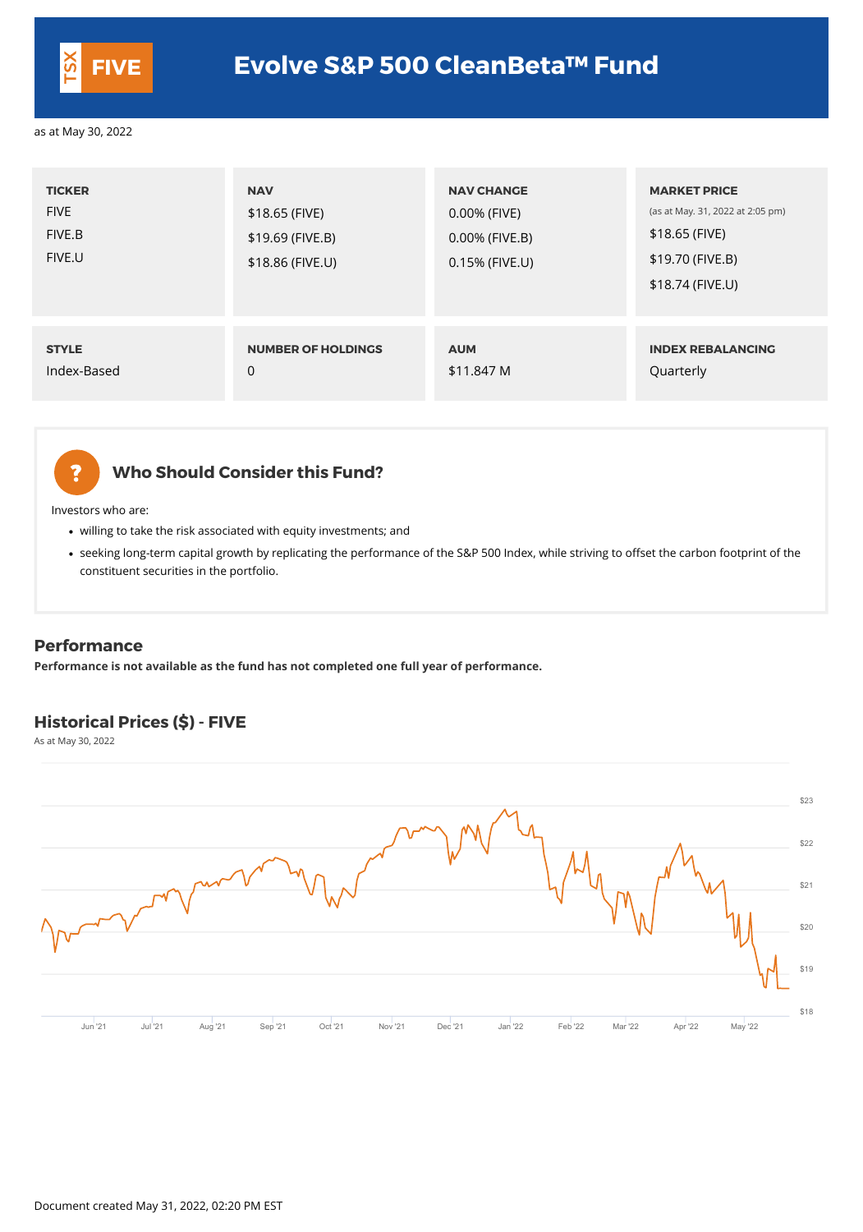# **Who Should Consider this Fund?**

- willing to take the risk associated with equity investments; and
- seeking long-term capital growth by replicating the performance of the S&P 500 Index, while striving to offset the carbon footprint of the constituent securities in the portfolio.

Investors who are:

| <b>TICKER</b><br><b>FIVE</b><br>FIVE.B<br>FIVE.U | <b>NAV</b><br>\$18.65 (FIVE)<br>$$19.69$ (FIVE.B)<br>\$18.86 (FIVE.U) | <b>NAV CHANGE</b><br>0.00% (FIVE)<br>0.00% (FIVE.B)<br>0.15% (FIVE.U) | <b>MARKET PRICE</b><br>(as at May. 31, 2022 at 2:05 pm)<br>\$18.65 (FIVE)<br>\$19.70 (FIVE.B)<br>\$18.74 (FIVE.U) |
|--------------------------------------------------|-----------------------------------------------------------------------|-----------------------------------------------------------------------|-------------------------------------------------------------------------------------------------------------------|
| <b>STYLE</b>                                     | <b>NUMBER OF HOLDINGS</b>                                             | <b>AUM</b>                                                            | <b>INDEX REBALANCING</b>                                                                                          |
| Index-Based                                      | $\theta$                                                              | \$11.847 M                                                            | Quarterly                                                                                                         |



#### **Performance**

**Performance is not available as the fund has not completed one full year of performance.**

# **Historical Prices (\$) - FIVE**

As at May 30, 2022



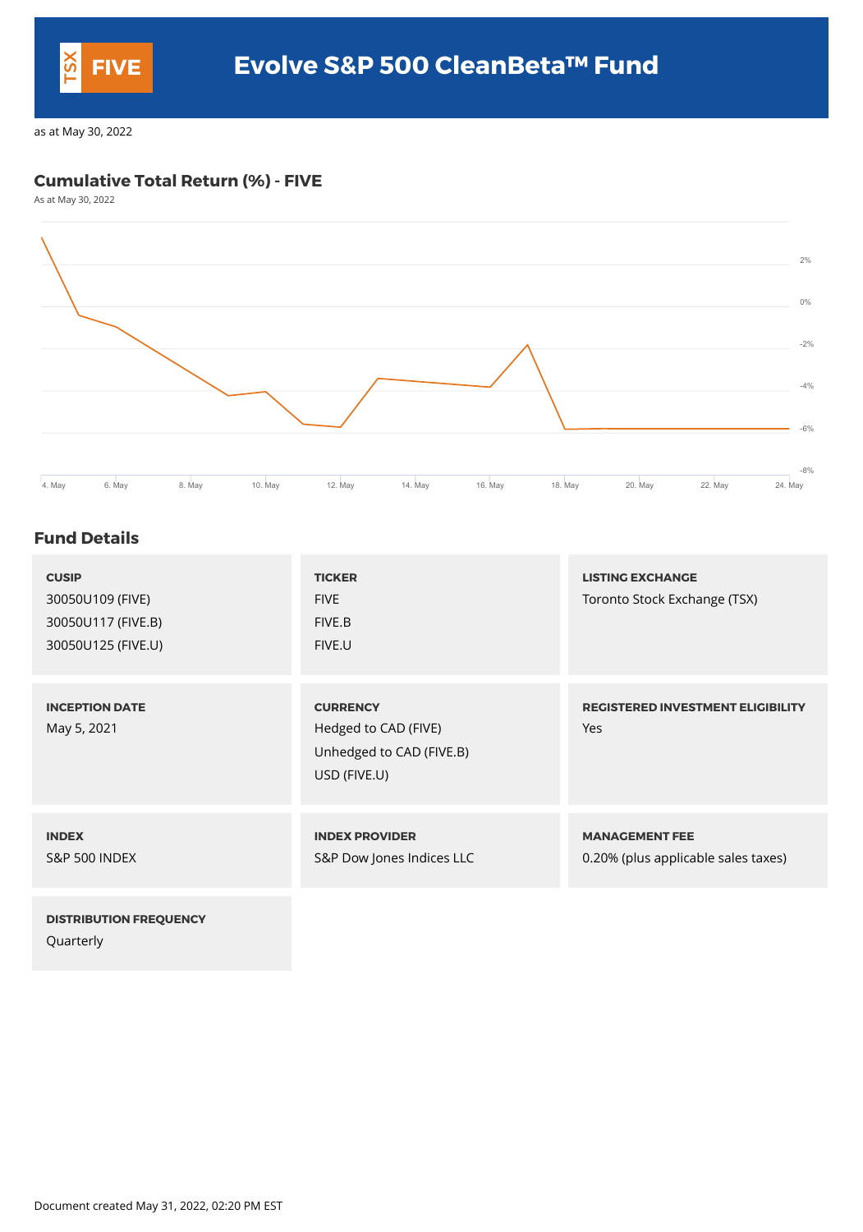## **Cumulative Total Return (%) - FIVE**

As at May 30, 2022



#### **Fund Details**

| <b>CUSIP</b><br>30050U109 (FIVE)<br>30050U117 (FIVE.B)<br>30050U125 (FIVE.U) | <b>TICKER</b><br><b>FIVE</b><br>FIVE.B<br>FIVE.U                                    | <b>LISTING EXCHANGE</b><br>Toronto Stock Exchange (TSX)      |
|------------------------------------------------------------------------------|-------------------------------------------------------------------------------------|--------------------------------------------------------------|
| <b>INCEPTION DATE</b><br>May 5, 2021                                         | <b>CURRENCY</b><br>Hedged to CAD (FIVE)<br>Unhedged to CAD (FIVE.B)<br>USD (FIVE.U) | <b>REGISTERED INVESTMENT ELIGIBILITY</b><br>Yes              |
| <b>INDEX</b><br><b>S&amp;P 500 INDEX</b>                                     | <b>INDEX PROVIDER</b><br>S&P Dow Jones Indices LLC                                  | <b>MANAGEMENT FEE</b><br>0.20% (plus applicable sales taxes) |
| <b>DISTRIBUTION FREQUENCY</b><br>Quarterly                                   |                                                                                     |                                                              |

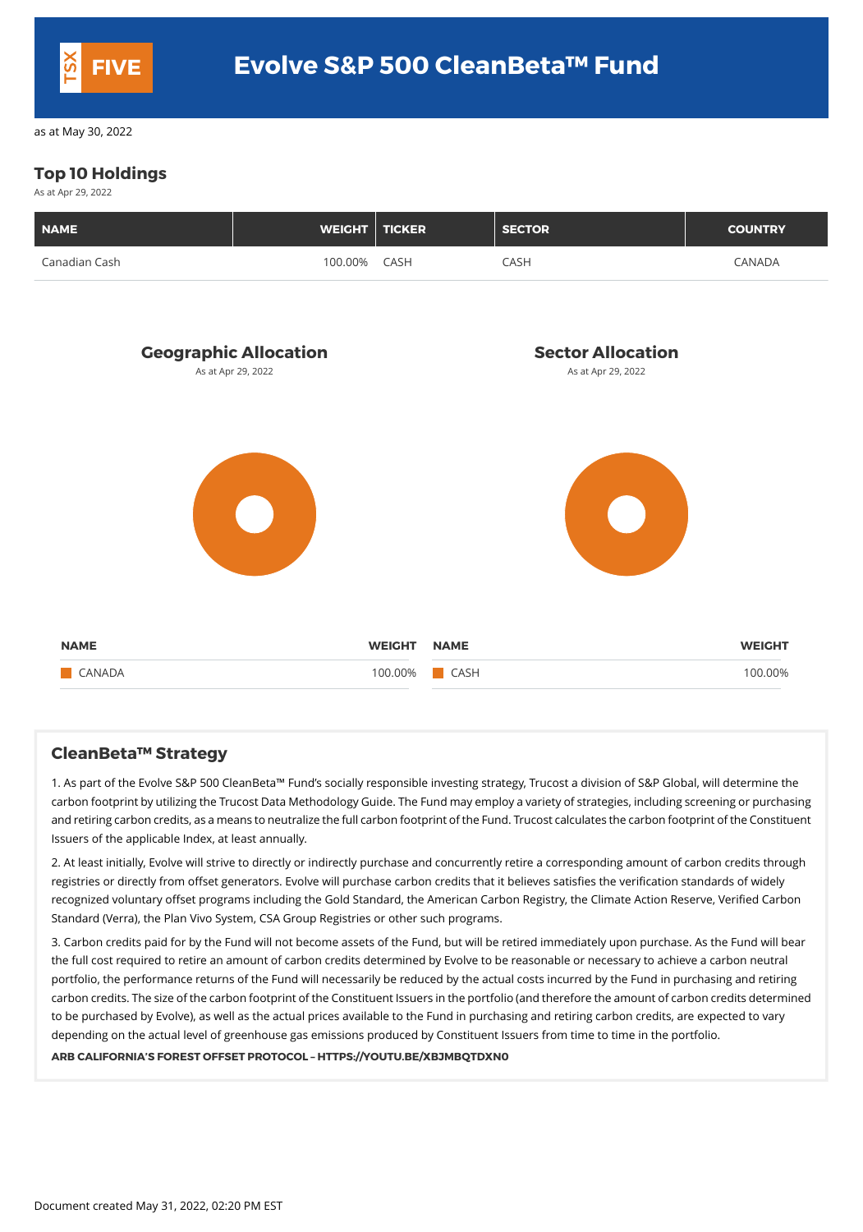# **Top 10 Holdings**

As at Apr 29, 2022

| <b>NAME</b>   | WEIGHT TICKER |      | <b>SECTOR</b> | <b>COUNTRY</b> |
|---------------|---------------|------|---------------|----------------|
| Canadian Cash | 100.00%       | CASH | CASH          | <b>CANADA</b>  |



#### **CleanBeta™ Strategy**

1. As part of the Evolve S&P 500 CleanBeta™ Fund's socially responsible investing strategy, Trucost a division of S&P Global, will determine the carbon footprint by utilizing the Trucost Data Methodology Guide. The Fundmay employ a variety of strategies, including screening or purchasing and retiring carbon credits, as ameans to neutralize the full carbon footprint of the Fund. Trucost calculates the carbon footprint of the Constituent Issuers of the applicable Index, at least annually.

2. At least initially, Evolve will strive to directly or indirectly purchase and concurrently retire a corresponding amount of carbon credits through registries or directly from offset generators. Evolve will purchase carbon credits that it believes satisfies the verification standards of widely recognized voluntary offset programs including the Gold Standard, the American Carbon Registry, the Climate Action Reserve, Verified Carbon Standard (Verra), the Plan Vivo System, CSA Group Registries or other such programs.

3. Carbon credits paid for by the Fund will not become assets of the Fund, but will be retired immediately upon purchase. As the Fund will bear the full cost required to retire an amount of carbon credits determined by Evolve to be reasonable or necessary to achieve a carbon neutral portfolio, the performance returns of the Fund will necessarily be reduced by the actual costs incurred by the Fund in purchasing and retiring carbon credits. The size of the carbon footprint of the Constituent Issuers in the portfolio (and therefore the amount of carbon credits determined to be purchased by Evolve), as well as the actual prices available to the Fund in purchasing and retiring carbon credits, are expected to vary depending on the actual level of greenhouse gas emissions produced by Constituent Issuers from time to time in the portfolio.

#### **ARB CALIFORNIA'S FOREST OFFSET PROTOCOL – HTTPS://YOUTU.BE/XBJMBQTDXN0**